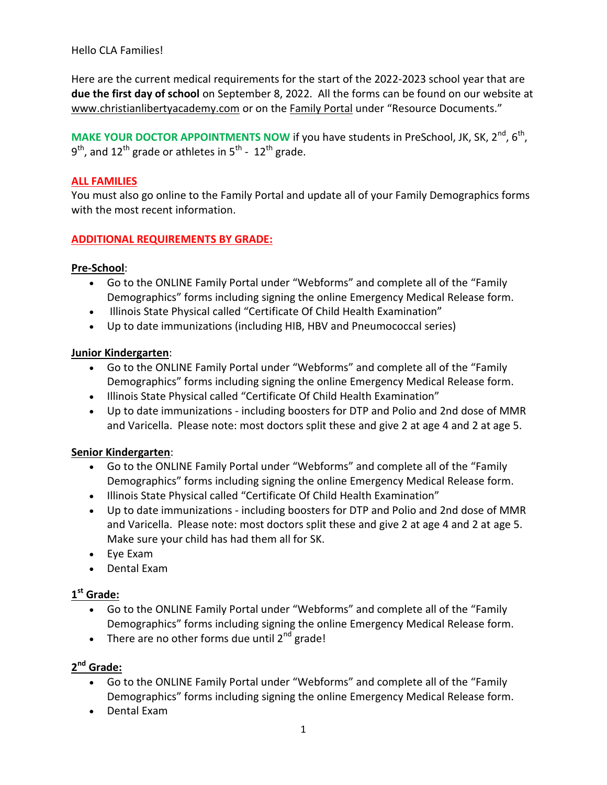### Hello CLA Families!

Here are the current medical requirements for the start of the 2022-2023 school year that are **due the first day of school** on September 8, 2022. All the forms can be found on our website at [www.christianlibertyacademy.com](http://www.christianlibertyacademy.com/) or on the [Family Portal](https://www.renweb.com/rwlogin/ParentsWeb-Login.aspx?District=CL-IL&SchoolCode=) under "Resource Documents."

**MAKE YOUR DOCTOR APPOINTMENTS NOW** if you have students in PreSchool, JK, SK, 2<sup>nd</sup>, 6<sup>th</sup>,  $9^{\text{th}}$ , and 12<sup>th</sup> grade or athletes in 5<sup>th</sup> - 12<sup>th</sup> grade.

### **ALL FAMILIES**

You must also go online to the Family Portal and update all of your Family Demographics forms with the most recent information.

### **ADDITIONAL REQUIREMENTS BY GRADE:**

### **Pre-School**:

- Go to the ONLINE Family Portal under "Webforms" and complete all of the "Family Demographics" forms including signing the online Emergency Medical Release form.
- Illinois State Physical called "Certificate Of Child Health Examination"
- Up to date immunizations (including HIB, HBV and Pneumococcal series)

### **Junior Kindergarten**:

- Go to the ONLINE Family Portal under "Webforms" and complete all of the "Family Demographics" forms including signing the online Emergency Medical Release form.
- Illinois State Physical called "Certificate Of Child Health Examination"
- Up to date immunizations including boosters for DTP and Polio and 2nd dose of MMR and Varicella. Please note: most doctors split these and give 2 at age 4 and 2 at age 5.

### **Senior Kindergarten**:

- Go to the ONLINE Family Portal under "Webforms" and complete all of the "Family Demographics" forms including signing the online Emergency Medical Release form.
- Illinois State Physical called "Certificate Of Child Health Examination"
- Up to date immunizations including boosters for DTP and Polio and 2nd dose of MMR and Varicella. Please note: most doctors split these and give 2 at age 4 and 2 at age 5. Make sure your child has had them all for SK.
- Eye Exam
- Dental Exam

### **1 st Grade:**

- Go to the ONLINE Family Portal under "Webforms" and complete all of the "Family Demographics" forms including signing the online Emergency Medical Release form.
- There are no other forms due until  $2^{nd}$  grade!

### **2 nd Grade:**

- Go to the ONLINE Family Portal under "Webforms" and complete all of the "Family Demographics" forms including signing the online Emergency Medical Release form.
- Dental Exam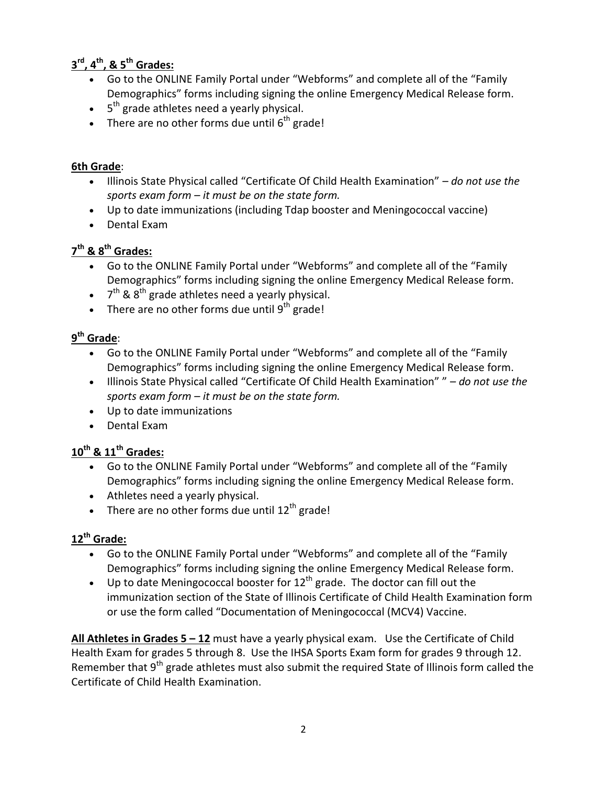## **3 rd, 4th , & 5 th Grades:**

- Go to the ONLINE Family Portal under "Webforms" and complete all of the "Family Demographics" forms including signing the online Emergency Medical Release form.
- $\bullet$  5<sup>th</sup> grade athletes need a yearly physical.
- There are no other forms due until  $6^{th}$  grade!

### **6th Grade**:

- Illinois State Physical called "Certificate Of Child Health Examination" *do not use the sports exam form – it must be on the state form.*
- Up to date immunizations (including Tdap booster and Meningococcal vaccine)
- Dental Exam

# **7 th & 8 th Grades:**

- Go to the ONLINE Family Portal under "Webforms" and complete all of the "Family Demographics" forms including signing the online Emergency Medical Release form.
- $\bullet$  7<sup>th</sup> & 8<sup>th</sup> grade athletes need a yearly physical.
- There are no other forms due until  $9^{th}$  grade!

# **9 th Grade**:

- Go to the ONLINE Family Portal under "Webforms" and complete all of the "Family Demographics" forms including signing the online Emergency Medical Release form.
- Illinois State Physical called "Certificate Of Child Health Examination" " *do not use the sports exam form – it must be on the state form.*
- Up to date immunizations
- Dental Exam

# **10th & 11th Grades:**

- Go to the ONLINE Family Portal under "Webforms" and complete all of the "Family Demographics" forms including signing the online Emergency Medical Release form.
- Athletes need a yearly physical.
- There are no other forms due until  $12^{th}$  grade!

# **12th Grade:**

- Go to the ONLINE Family Portal under "Webforms" and complete all of the "Family Demographics" forms including signing the online Emergency Medical Release form.
- Up to date Meningococcal booster for  $12<sup>th</sup>$  grade. The doctor can fill out the immunization section of the State of Illinois Certificate of Child Health Examination form or use the form called "Documentation of Meningococcal (MCV4) Vaccine.

**All Athletes in Grades 5 – 12** must have a yearly physical exam. Use the Certificate of Child Health Exam for grades 5 through 8. Use the IHSA Sports Exam form for grades 9 through 12. Remember that  $9<sup>th</sup>$  grade athletes must also submit the required State of Illinois form called the Certificate of Child Health Examination.